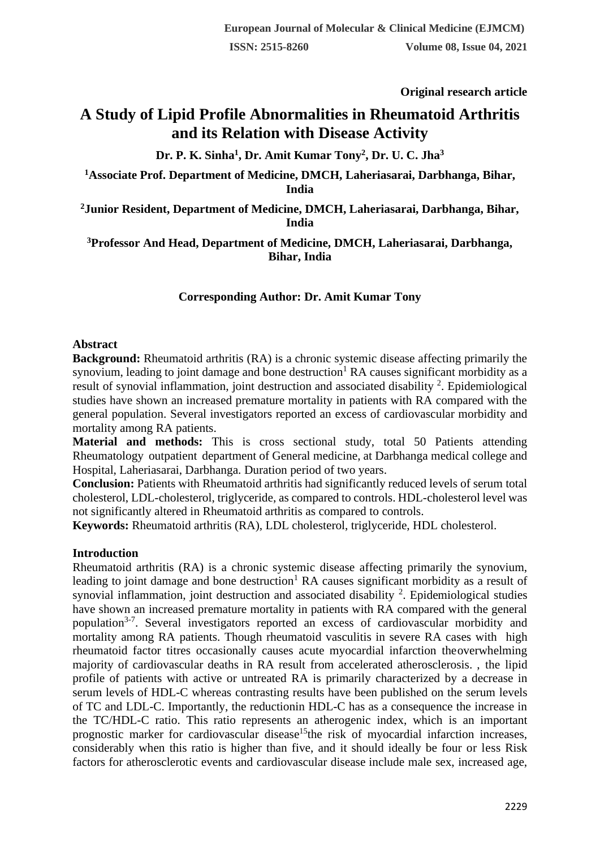**Original research article** 

# **A Study of Lipid Profile Abnormalities in Rheumatoid Arthritis and its Relation with Disease Activity**

**Dr. P. K. Sinha<sup>1</sup> , Dr. Amit Kumar Tony<sup>2</sup> , Dr. U. C. Jha<sup>3</sup>**

**<sup>1</sup>Associate Prof. Department of Medicine, DMCH, Laheriasarai, Darbhanga, Bihar, India**

**<sup>2</sup>Junior Resident, Department of Medicine, DMCH, Laheriasarai, Darbhanga, Bihar, India**

**<sup>3</sup>Professor And Head, Department of Medicine, DMCH, Laheriasarai, Darbhanga, Bihar, India**

# **Corresponding Author: Dr. Amit Kumar Tony**

### **Abstract**

**Background:** Rheumatoid arthritis (RA) is a chronic systemic disease affecting primarily the synovium, leading to joint damage and bone destruction<sup>1</sup> RA causes significant morbidity as a result of synovial inflammation, joint destruction and associated disability  $2$ . Epidemiological studies have shown an increased premature mortality in patients with RA compared with the general population. Several investigators reported an excess of cardiovascular morbidity and mortality among RA patients.

**Material and methods:** This is cross sectional study, total 50 Patients attending Rheumatology outpatient department of General medicine, at Darbhanga medical college and Hospital, Laheriasarai, Darbhanga. Duration period of two years.

**Conclusion:** Patients with Rheumatoid arthritis had significantly reduced levels of serum total cholesterol, LDL-cholesterol, triglyceride, as compared to controls. HDL-cholesterol level was not significantly altered in Rheumatoid arthritis as compared to controls.

**Keywords:** Rheumatoid arthritis (RA), LDL cholesterol, triglyceride, HDL cholesterol.

### **Introduction**

Rheumatoid arthritis (RA) is a chronic systemic disease affecting primarily the synovium, leading to joint damage and bone destruction<sup>1</sup> RA causes significant morbidity as a result of synovial inflammation, joint destruction and associated disability  $2$ . Epidemiological studies have shown an increased premature mortality in patients with RA compared with the general population<sup>3-7</sup>. Several investigators reported an excess of cardiovascular morbidity and mortality among RA patients. Though rheumatoid vasculitis in severe RA cases with high rheumatoid factor titres occasionally causes acute myocardial infarction theoverwhelming majority of cardiovascular deaths in RA result from accelerated atherosclerosis. , the lipid profile of patients with active or untreated RA is primarily characterized by a decrease in serum levels of HDL-C whereas contrasting results have been published on the serum levels of TC and LDL-C. Importantly, the reductionin HDL-C has as a consequence the increase in the TC/HDL-C ratio. This ratio represents an atherogenic index, which is an important prognostic marker for cardiovascular disease<sup>15</sup>the risk of myocardial infarction increases, considerably when this ratio is higher than five, and it should ideally be four or less Risk factors for atherosclerotic events and cardiovascular disease include male sex, increased age,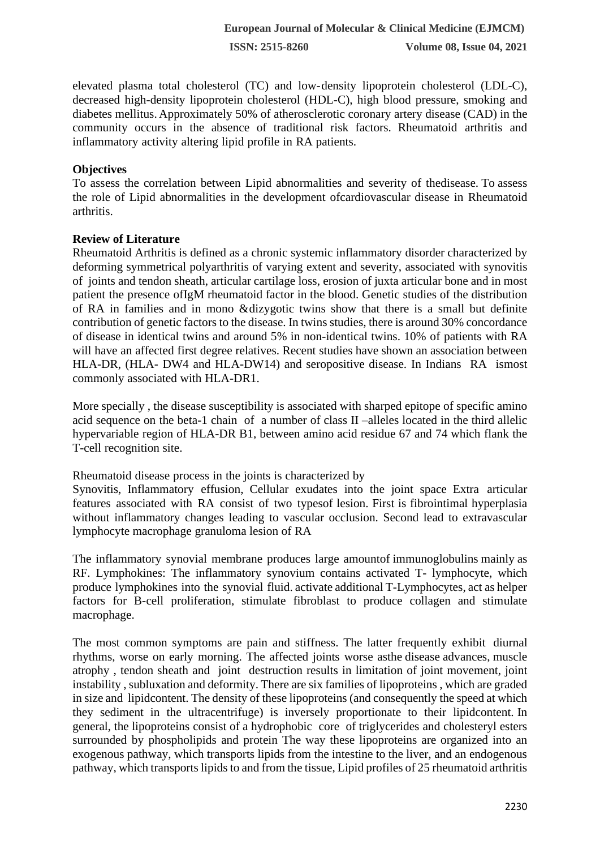elevated plasma total cholesterol (TC) and low-density lipoprotein cholesterol (LDL-C), decreased high-density lipoprotein cholesterol (HDL-C), high blood pressure, smoking and diabetes mellitus. Approximately 50% of atherosclerotic coronary artery disease (CAD) in the community occurs in the absence of traditional risk factors. Rheumatoid arthritis and inflammatory activity altering lipid profile in RA patients.

# **Objectives**

To assess the correlation between Lipid abnormalities and severity of thedisease. To assess the role of Lipid abnormalities in the development ofcardiovascular disease in Rheumatoid arthritis.

# **Review of Literature**

Rheumatoid Arthritis is defined as a chronic systemic inflammatory disorder characterized by deforming symmetrical polyarthritis of varying extent and severity, associated with synovitis of joints and tendon sheath, articular cartilage loss, erosion of juxta articular bone and in most patient the presence ofIgM rheumatoid factor in the blood. Genetic studies of the distribution of RA in families and in mono &dizygotic twins show that there is a small but definite contribution of genetic factors to the disease. In twins studies, there is around 30% concordance of disease in identical twins and around 5% in non-identical twins. 10% of patients with RA will have an affected first degree relatives. Recent studies have shown an association between HLA-DR, (HLA- DW4 and HLA-DW14) and seropositive disease. In Indians RA ismost commonly associated with HLA-DR1.

More specially , the disease susceptibility is associated with sharped epitope of specific amino acid sequence on the beta-1 chain of a number of class II –alleles located in the third allelic hypervariable region of HLA-DR B1, between amino acid residue 67 and 74 which flank the T-cell recognition site.

Rheumatoid disease process in the joints is characterized by

Synovitis, Inflammatory effusion, Cellular exudates into the joint space Extra articular features associated with RA consist of two typesof lesion. First is fibrointimal hyperplasia without inflammatory changes leading to vascular occlusion. Second lead to extravascular lymphocyte macrophage granuloma lesion of RA

The inflammatory synovial membrane produces large amountof immunoglobulins mainly as RF. Lymphokines: The inflammatory synovium contains activated T- lymphocyte, which produce lymphokines into the synovial fluid. activate additional T-Lymphocytes, act as helper factors for B-cell proliferation, stimulate fibroblast to produce collagen and stimulate macrophage.

The most common symptoms are pain and stiffness. The latter frequently exhibit diurnal rhythms, worse on early morning. The affected joints worse asthe disease advances, muscle atrophy , tendon sheath and joint destruction results in limitation of joint movement, joint instability , subluxation and deformity. There are six families of lipoproteins , which are graded in size and lipidcontent. The density of these lipoproteins (and consequently the speed at which they sediment in the ultracentrifuge) is inversely proportionate to their lipidcontent. In general, the lipoproteins consist of a hydrophobic core of triglycerides and cholesteryl esters surrounded by phospholipids and protein The way these lipoproteins are organized into an exogenous pathway, which transports lipids from the intestine to the liver, and an endogenous pathway, which transports lipids to and from the tissue, Lipid profiles of 25 rheumatoid arthritis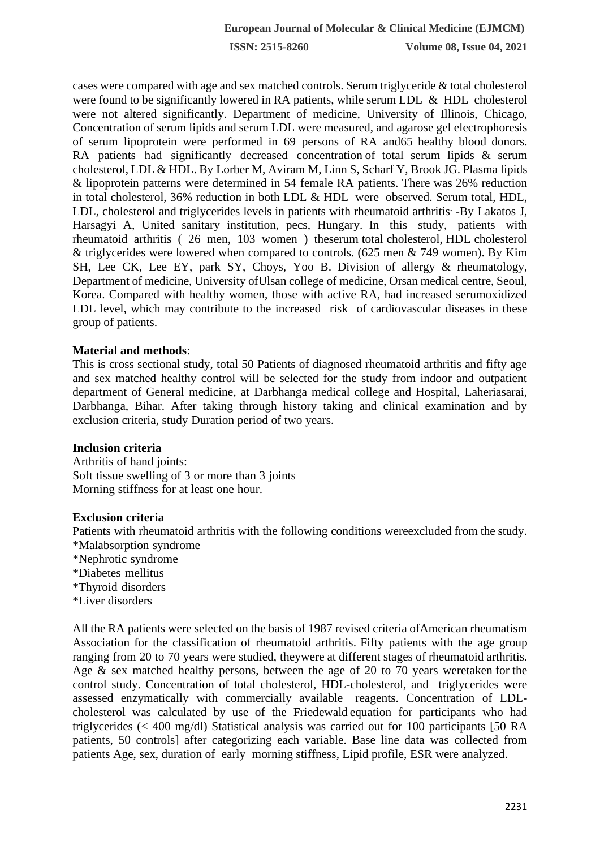**ISSN: 2515-8260 Volume 08, Issue 04, 2021**

cases were compared with age and sex matched controls. Serum triglyceride & total cholesterol were found to be significantly lowered in RA patients, while serum LDL & HDL cholesterol were not altered significantly. Department of medicine, University of Illinois, Chicago, Concentration of serum lipids and serum LDL were measured, and agarose gel electrophoresis of serum lipoprotein were performed in 69 persons of RA and65 healthy blood donors. RA patients had significantly decreased concentration of total serum lipids & serum cholesterol, LDL & HDL. By Lorber M, Aviram M, Linn S, Scharf Y, Brook JG. Plasma lipids & lipoprotein patterns were determined in 54 female RA patients. There was 26% reduction in total cholesterol, 36% reduction in both LDL & HDL were observed. Serum total, HDL, LDL, cholesterol and triglycerides levels in patients with rheumatoid arthritis**.** -By Lakatos J, Harsagyi A, United sanitary institution, pecs, Hungary. In this study, patients with rheumatoid arthritis ( 26 men, 103 women ) theserum total cholesterol, HDL cholesterol & triglycerides were lowered when compared to controls. (625 men & 749 women). By Kim SH, Lee CK, Lee EY, park SY, Choys, Yoo B. Division of allergy & rheumatology, Department of medicine, University ofUlsan college of medicine, Orsan medical centre, Seoul, Korea. Compared with healthy women, those with active RA, had increased serumoxidized LDL level, which may contribute to the increased risk of cardiovascular diseases in these group of patients.

### **Material and methods**:

This is cross sectional study, total 50 Patients of diagnosed rheumatoid arthritis and fifty age and sex matched healthy control will be selected for the study from indoor and outpatient department of General medicine, at Darbhanga medical college and Hospital, Laheriasarai, Darbhanga, Bihar. After taking through history taking and clinical examination and by exclusion criteria, study Duration period of two years.

#### **Inclusion criteria**

Arthritis of hand joints: Soft tissue swelling of 3 or more than 3 joints Morning stiffness for at least one hour.

#### **Exclusion criteria**

Patients with rheumatoid arthritis with the following conditions wereexcluded from the study. \*Malabsorption syndrome \*Nephrotic syndrome \*Diabetes mellitus \*Thyroid disorders \*Liver disorders

All the RA patients were selected on the basis of 1987 revised criteria ofAmerican rheumatism Association for the classification of rheumatoid arthritis. Fifty patients with the age group ranging from 20 to 70 years were studied, theywere at different stages of rheumatoid arthritis. Age & sex matched healthy persons, between the age of 20 to 70 years weretaken for the control study. Concentration of total cholesterol, HDL-cholesterol, and triglycerides were assessed enzymatically with commercially available reagents. Concentration of LDLcholesterol was calculated by use of the Friedewald equation for participants who had triglycerides (< 400 mg/dl) Statistical analysis was carried out for 100 participants [50 RA patients, 50 controls] after categorizing each variable. Base line data was collected from patients Age, sex, duration of early morning stiffness, Lipid profile, ESR were analyzed.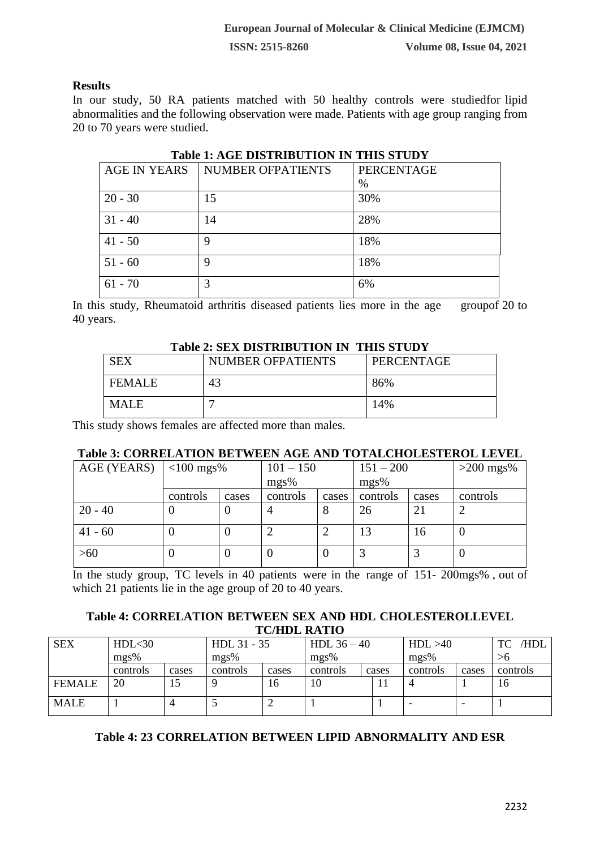# **Results**

In our study, 50 RA patients matched with 50 healthy controls were studiedfor lipid abnormalities and the following observation were made. Patients with age group ranging from 20 to 70 years were studied.

| Table 1. AVE DISTRIDUTION IN THIS STUDT |                          |            |  |  |  |  |  |  |
|-----------------------------------------|--------------------------|------------|--|--|--|--|--|--|
| AGE IN YEARS                            | <b>NUMBER OFPATIENTS</b> | PERCENTAGE |  |  |  |  |  |  |
|                                         |                          | $\%$       |  |  |  |  |  |  |
| $20 - 30$                               | 15                       | 30%        |  |  |  |  |  |  |
| $31 - 40$                               | 14                       | 28%        |  |  |  |  |  |  |
| $41 - 50$                               | 9                        | 18%        |  |  |  |  |  |  |
| $51 - 60$                               | 9                        | 18%        |  |  |  |  |  |  |
| $61 - 70$                               | 3                        | 6%         |  |  |  |  |  |  |

# **Table 1: AGE DISTRIBUTION IN THIS STUDY**

In this study, Rheumatoid arthritis diseased patients lies more in the age groupof 20 to 40 years.

#### **Table 2: SEX DISTRIBUTION IN THIS STUDY**

| <b>SEX</b>    | <b>NUMBER OFPATIENTS</b> | PERCENTAGE |  |  |  |  |  |
|---------------|--------------------------|------------|--|--|--|--|--|
| <b>FEMALE</b> | 43                       | 86%        |  |  |  |  |  |
| <b>MALE</b>   |                          | 14%        |  |  |  |  |  |

This study shows females are affected more than males.

### **Table 3: CORRELATION BETWEEN AGE AND TOTALCHOLESTEROL LEVEL**

| AGE (YEARS) $\vert$ <100 mgs% |          |          | $101 - 150$ |       | $151 - 200$ |       | $>200$ mgs% |
|-------------------------------|----------|----------|-------------|-------|-------------|-------|-------------|
|                               |          |          | mgs%        |       | mgs%        |       |             |
|                               | controls | cases    | controls    | cases | controls    | cases | controls    |
| $20 - 40$                     |          |          | 4           | 8     | 26          | 21    |             |
| $41 - 60$                     |          |          |             | ∍     | 13          | 16    | U           |
| >60                           |          | $\left($ |             |       |             |       | U           |

In the study group, TC levels in 40 patients were in the range of 151- 200mgs% , out of which 21 patients lie in the age group of 20 to 40 years.

# **Table 4: CORRELATION BETWEEN SEX AND HDL CHOLESTEROLLEVEL TC/HDL RATIO**

| <b>SEX</b>    | HDL <sub>30</sub> |       | HDL 31 - 35 |       | HDL $36 - 40$ |       | HDL > 40 |       | /HDL<br>TC |
|---------------|-------------------|-------|-------------|-------|---------------|-------|----------|-------|------------|
|               | mgs%              |       | mgs%        |       | mgs%          |       | mgs%     |       | >6         |
|               | controls          | cases | controls    | cases | controls      | cases | controls | cases | controls   |
| <b>FEMALE</b> | 20                |       |             | 16    | 10            |       |          |       | 16         |
| <b>MALE</b>   |                   | 4     |             |       |               |       |          |       |            |

# **Table 4: 23 CORRELATION BETWEEN LIPID ABNORMALITY AND ESR**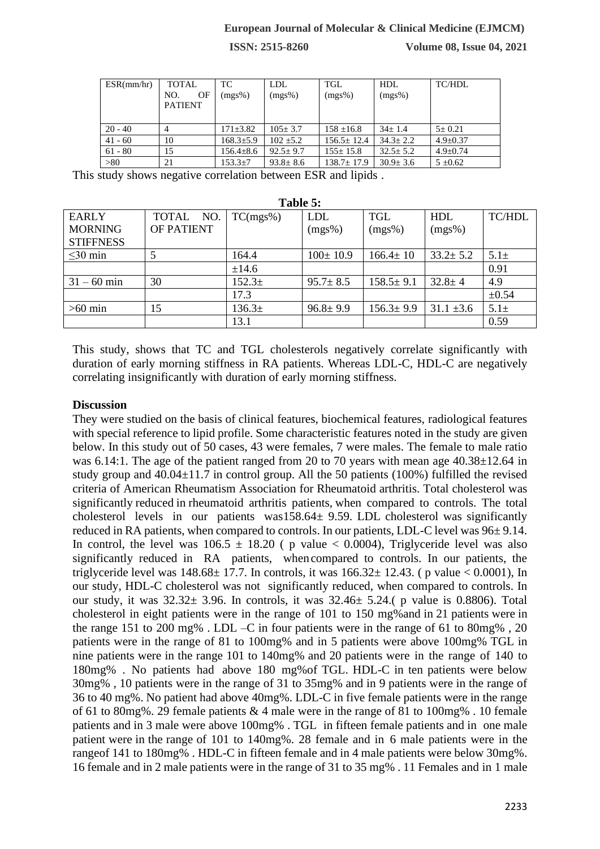**ISSN: 2515-8260 Volume 08, Issue 04, 2021**

| ESR(mm/hr) | <b>TOTAL</b>                | TC.             | <b>LDL</b>     | TGL              | <b>HDL</b>     | <b>TC/HDL</b>  |
|------------|-----------------------------|-----------------|----------------|------------------|----------------|----------------|
|            | NO.<br>OF<br><b>PATIENT</b> | $(mgs\%)$       | $(mgs\%)$      | $(mgs\%)$        | $(mgs\%)$      |                |
| $20 - 40$  | 4                           | $171 \pm 3.82$  | $105 + 3.7$    | $158 \pm 16.8$   | $34+1.4$       | $5+0.21$       |
| $41 - 60$  | 10                          | $168.3 \pm 5.9$ | $102 + 5.2$    | $156.5 \pm 12.4$ | $34.3 \pm 2.2$ | $4.9 \pm 0.37$ |
| $61 - 80$  | 15                          | $156.4 \pm 8.6$ | $92.5 \pm 9.7$ | $155 \pm 15.8$   | $32.5 \pm 5.2$ | $4.9 \pm 0.74$ |
| > 80       | 21                          | $153.3 \pm 7$   | $93.8 \pm 8.6$ | $138.7 \pm 17.9$ | $30.9 \pm 3.6$ | $5 \pm 0.62$   |

This study shows negative correlation between ESR and lipids .

| Table 5:         |                   |                    |                |                 |                |               |  |  |  |
|------------------|-------------------|--------------------|----------------|-----------------|----------------|---------------|--|--|--|
| <b>EARLY</b>     | NO.<br>TOTAL      | TC(mgs%)           | <b>LDL</b>     | <b>TGL</b>      | HDL            | <b>TC/HDL</b> |  |  |  |
| <b>MORNING</b>   | <b>OF PATIENT</b> |                    | $(mgs\%)$      | $(mgs\%)$       | $(mgs\%)$      |               |  |  |  |
| <b>STIFFNESS</b> |                   |                    |                |                 |                |               |  |  |  |
| $\leq$ 30 min    | .5                | 164.4              | $100 \pm 10.9$ | $166.4 \pm 10$  | $33.2 \pm 5.2$ | $5.1\pm$      |  |  |  |
|                  |                   | ±14.6              |                |                 |                | 0.91          |  |  |  |
| $31 - 60$ min    | 30                | $152.3+$           | $95.7 \pm 8.5$ | $158.5 \pm 9.1$ | $32.8 \pm 4$   | 4.9           |  |  |  |
|                  |                   | 17.3               |                |                 |                | $\pm 0.54$    |  |  |  |
| $>60$ min        | 15                | 136.3 <sup>±</sup> | $96.8 \pm 9.9$ | $156.3 \pm 9.9$ | $31.1 \pm 3.6$ | $5.1\pm$      |  |  |  |
|                  |                   | 13.1               |                |                 |                | 0.59          |  |  |  |

This study, shows that TC and TGL cholesterols negatively correlate significantly with duration of early morning stiffness in RA patients. Whereas LDL-C, HDL-C are negatively correlating insignificantly with duration of early morning stiffness.

### **Discussion**

They were studied on the basis of clinical features, biochemical features, radiological features with special reference to lipid profile. Some characteristic features noted in the study are given below. In this study out of 50 cases, 43 were females, 7 were males. The female to male ratio was 6.14:1. The age of the patient ranged from 20 to 70 years with mean age 40.38 $\pm$ 12.64 in study group and  $40.04 \pm 11.7$  in control group. All the 50 patients (100%) fulfilled the revised criteria of American Rheumatism Association for Rheumatoid arthritis. Total cholesterol was significantly reduced in rheumatoid arthritis patients, when compared to controls. The total cholesterol levels in our patients was158.64 $\pm$  9.59. LDL cholesterol was significantly reduced in RA patients, when compared to controls. In our patients, LDL-C level was  $96±9.14$ . In control, the level was  $106.5 \pm 18.20$  ( p value < 0.0004), Triglyceride level was also significantly reduced in RA patients, whencompared to controls. In our patients, the triglyceride level was  $148.68 \pm 17.7$ . In controls, it was  $166.32 \pm 12.43$ . (p value < 0.0001), In our study, HDL-C cholesterol was not significantly reduced, when compared to controls. In our study, it was  $32.32 \pm 3.96$ . In controls, it was  $32.46 \pm 5.24$ . (p value is 0.8806). Total cholesterol in eight patients were in the range of 101 to 150 mg%and in 21 patients were in the range 151 to 200 mg% . LDL –C in four patients were in the range of 61 to 80mg% , 20 patients were in the range of 81 to 100mg% and in 5 patients were above 100mg% TGL in nine patients were in the range 101 to 140mg% and 20 patients were in the range of 140 to 180mg% . No patients had above 180 mg%of TGL. HDL-C in ten patients were below 30mg% , 10 patients were in the range of 31 to 35mg% and in 9 patients were in the range of 36 to 40 mg%. No patient had above 40mg%. LDL-C in five female patients were in the range of 61 to 80mg%. 29 female patients & 4 male were in the range of 81 to 100mg% . 10 female patients and in 3 male were above 100mg% . TGL in fifteen female patients and in one male patient were in the range of 101 to 140mg%. 28 female and in 6 male patients were in the rangeof 141 to 180mg% . HDL-C in fifteen female and in 4 male patients were below 30mg%. 16 female and in 2 male patients were in the range of 31 to 35 mg% . 11 Females and in 1 male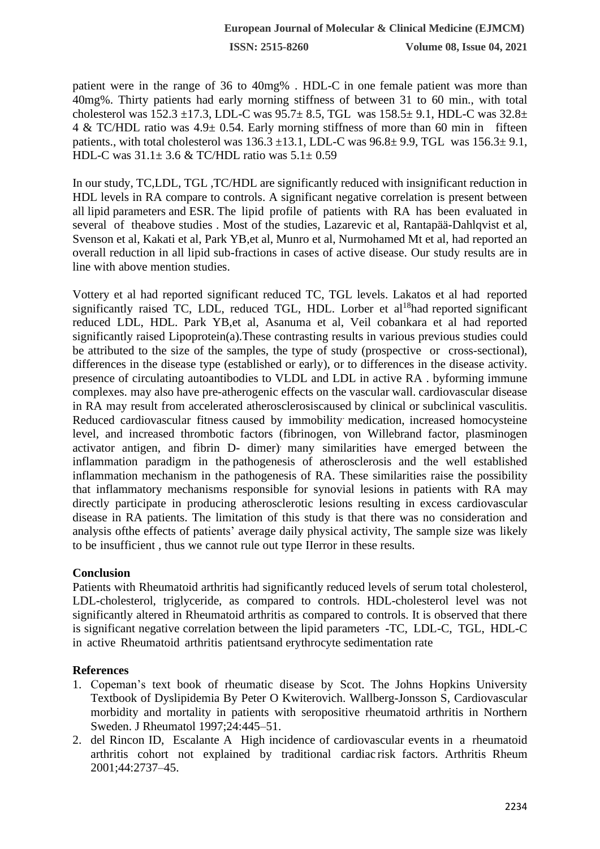**ISSN: 2515-8260 Volume 08, Issue 04, 2021**

patient were in the range of 36 to 40mg% . HDL-C in one female patient was more than 40mg%. Thirty patients had early morning stiffness of between 31 to 60 min., with total cholesterol was  $152.3 \pm 17.3$ , LDL-C was  $95.7 \pm 8.5$ , TGL was  $158.5 \pm 9.1$ , HDL-C was  $32.8 \pm 17.3$ 4 & TC/HDL ratio was 4.9± 0.54. Early morning stiffness of more than 60 min in fifteen patients., with total cholesterol was  $136.3 \pm 13.1$ , LDL-C was  $96.8 \pm 9.9$ , TGL was  $156.3 \pm 9.1$ , HDL-C was  $31.1 \pm 3.6$  & TC/HDL ratio was  $5.1 \pm 0.59$ 

In our study, TC,LDL, TGL ,TC/HDL are significantly reduced with insignificant reduction in HDL levels in RA compare to controls. A significant negative correlation is present between all lipid parameters and ESR. The lipid profile of patients with RA has been evaluated in several of theabove studies . Most of the studies, Lazarevic et al, Rantapää-Dahlqvist et al, Svenson et al, Kakati et al, Park YB,et al, Munro et al, Nurmohamed Mt et al, had reported an overall reduction in all lipid sub-fractions in cases of active disease. Our study results are in line with above mention studies.

Vottery et al had reported significant reduced TC, TGL levels. Lakatos et al had reported significantly raised TC, LDL, reduced TGL, HDL. Lorber et al<sup>18</sup>had reported significant reduced LDL, HDL. Park YB,et al, Asanuma et al, Veil cobankara et al had reported significantly raised Lipoprotein(a).These contrasting results in various previous studies could be attributed to the size of the samples, the type of study (prospective or cross-sectional), differences in the disease type (established or early), or to differences in the disease activity. presence of circulating autoantibodies to VLDL and LDL in active RA . byforming immune complexes. may also have pre-atherogenic effects on the vascular wall. cardiovascular disease in RA may result from accelerated atherosclerosiscaused by clinical or subclinical vasculitis. Reduced cardiovascular fitness caused by immobility medication, increased homocysteine level, and increased thrombotic factors (fibrinogen, von Willebrand factor, plasminogen activator antigen, and fibrin D- dimer). many similarities have emerged between the inflammation paradigm in the pathogenesis of atherosclerosis and the well established inflammation mechanism in the pathogenesis of RA. These similarities raise the possibility that inflammatory mechanisms responsible for synovial lesions in patients with RA may directly participate in producing atherosclerotic lesions resulting in excess cardiovascular disease in RA patients. The limitation of this study is that there was no consideration and analysis ofthe effects of patients' average daily physical activity, The sample size was likely to be insufficient , thus we cannot rule out type IIerror in these results.

#### **Conclusion**

Patients with Rheumatoid arthritis had significantly reduced levels of serum total cholesterol, LDL-cholesterol, triglyceride, as compared to controls. HDL-cholesterol level was not significantly altered in Rheumatoid arthritis as compared to controls. It is observed that there is significant negative correlation between the lipid parameters -TC, LDL-C, TGL, HDL-C in active Rheumatoid arthritis patientsand erythrocyte sedimentation rate

#### **References**

- 1. Copeman's text book of rheumatic disease by Scot. The Johns Hopkins University Textbook of Dyslipidemia By Peter O Kwiterovich. Wallberg-Jonsson S, Cardiovascular morbidity and mortality in patients with seropositive rheumatoid arthritis in Northern Sweden. J Rheumatol 1997;24:445–51.
- 2. del Rincon ID, Escalante A High incidence of cardiovascular events in a rheumatoid arthritis cohort not explained by traditional cardiac risk factors. Arthritis Rheum 2001;44:2737–45.